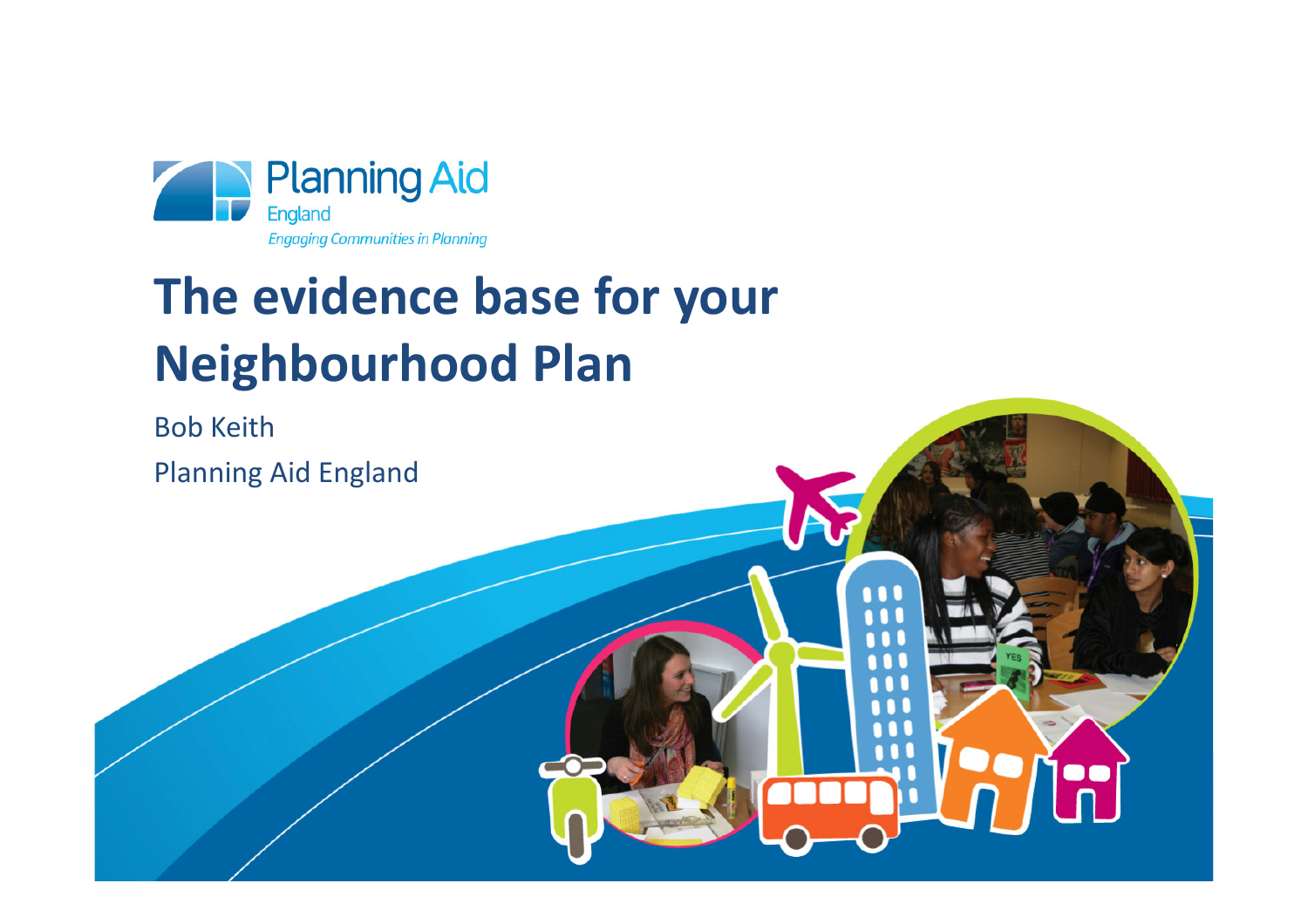

# **The evidence base for your Neighbourhood Plan**

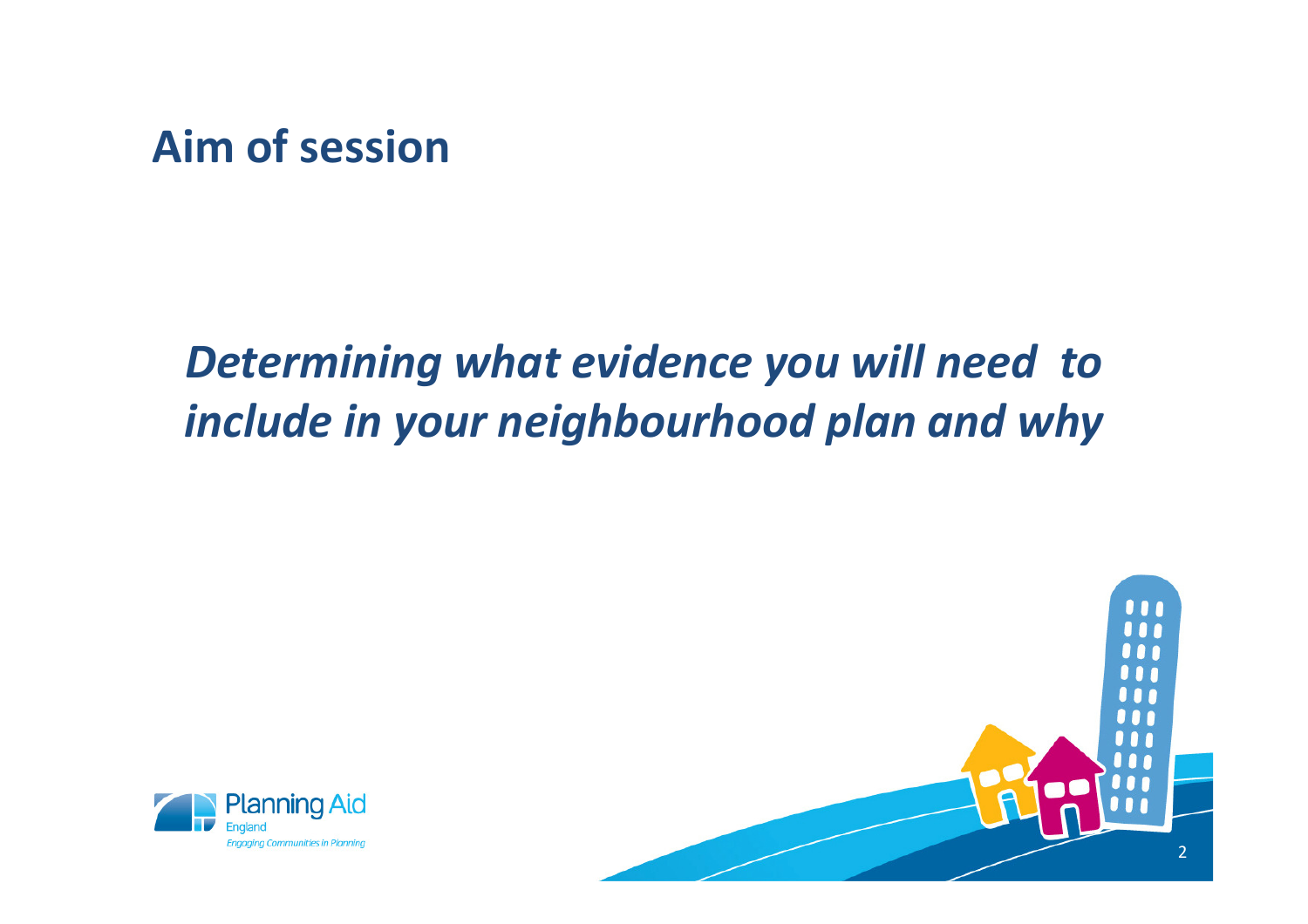#### **Aim of session**

# *Determining what evidence you will need to include in your neighbourhood plan and why*



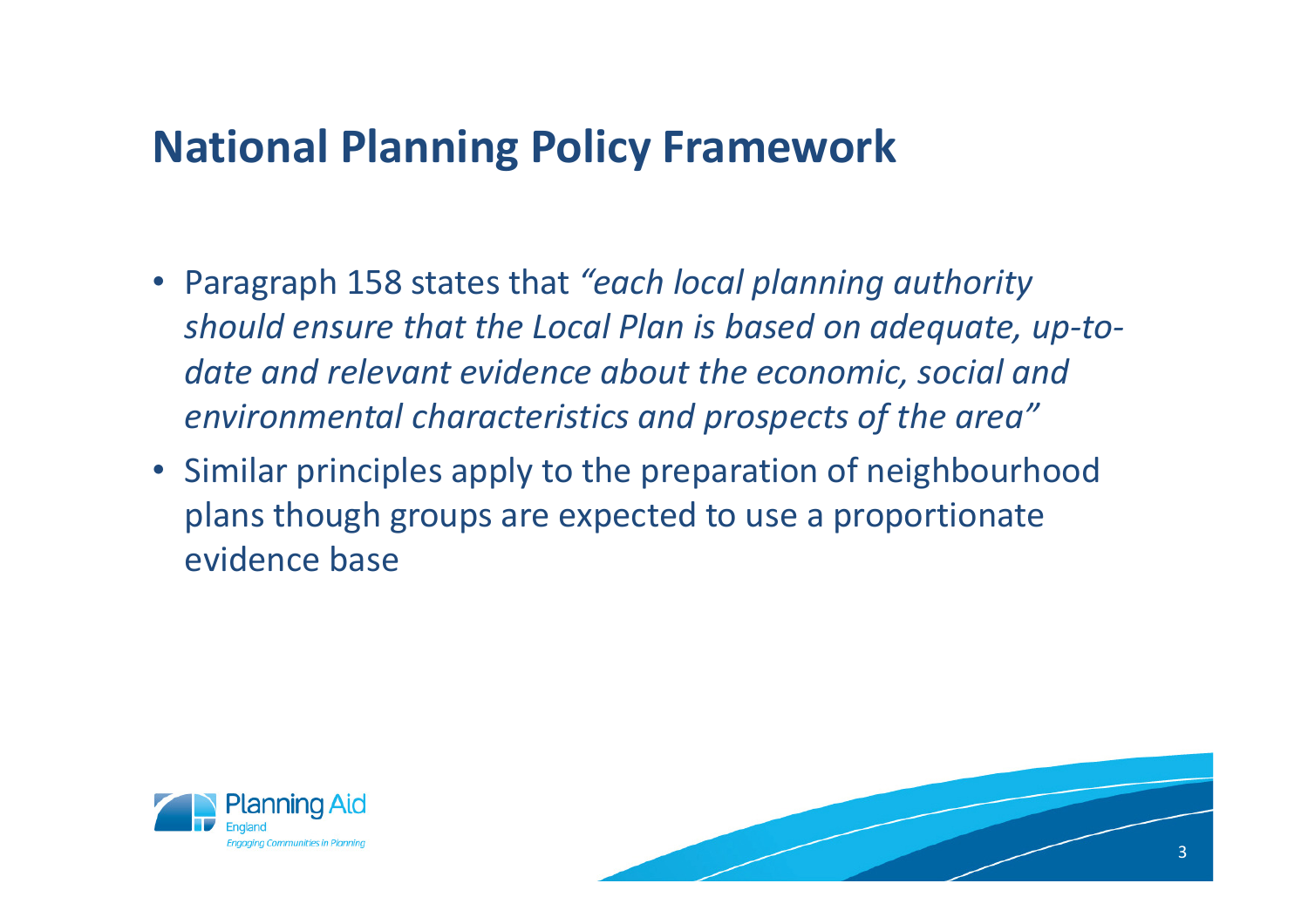#### **National Planning Policy Framework**

- Paragraph 158 states that *"each local planning authority should ensure that the Local Plan is based on adequate, up-todate and relevant evidence about the economic, social and environmental characteristics and prospects of the area"*
- Similar principles apply to the preparation of neighbourhood plans though groups are expected to use a proportionate evidence base



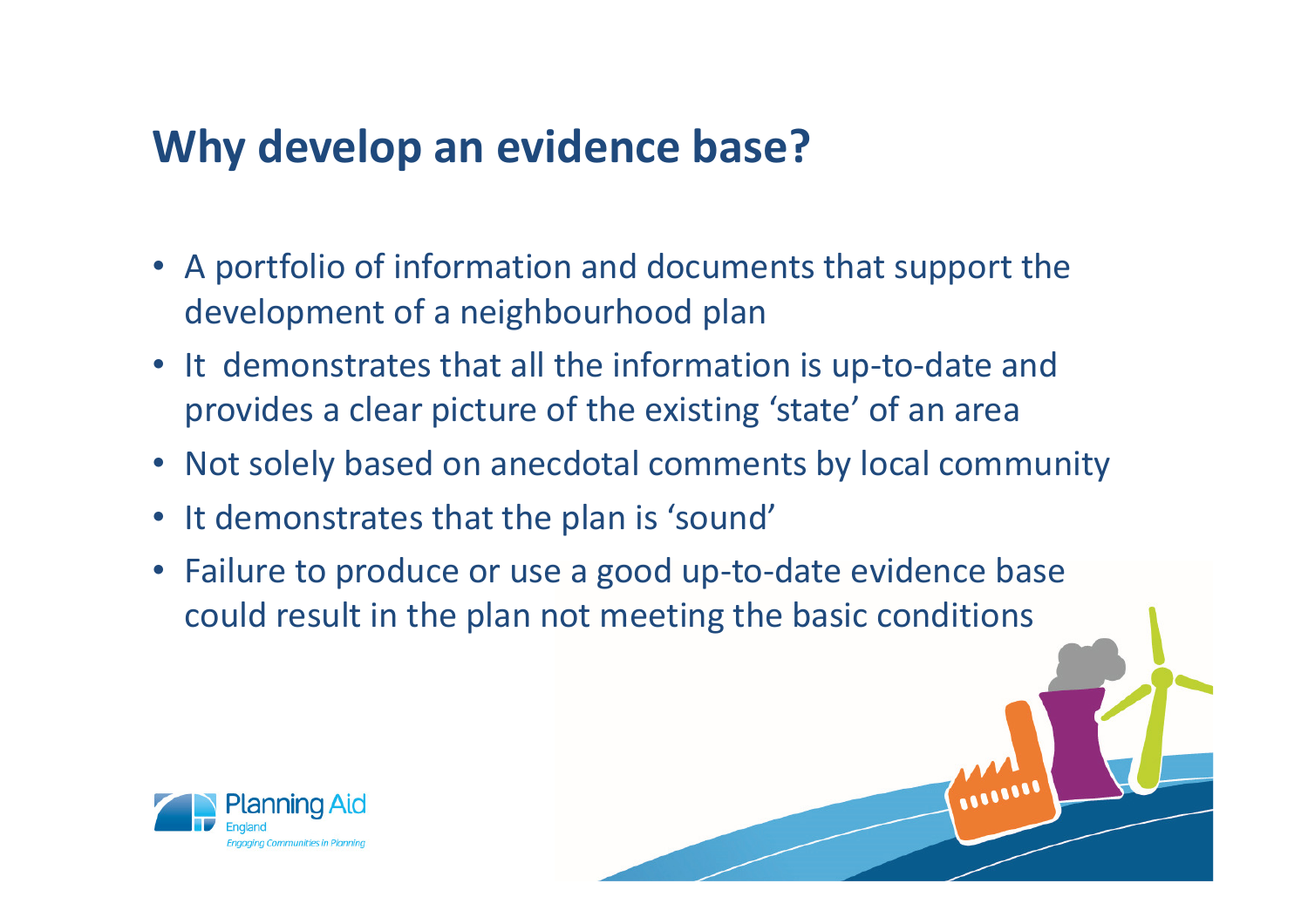## **Why develop an evidence base?**

- A portfolio of information and documents that support the development of a neighbourhood plan
- It demonstrates that all the information is up-to-date and provides a clear picture of the existing 'state' of an area
- Not solely based on anecdotal comments by local community
- It demonstrates that the plan is 'sound'
- Failure to produce or use a good up-to-date evidence base could result in the plan not meeting the basic conditions

WILLIAM

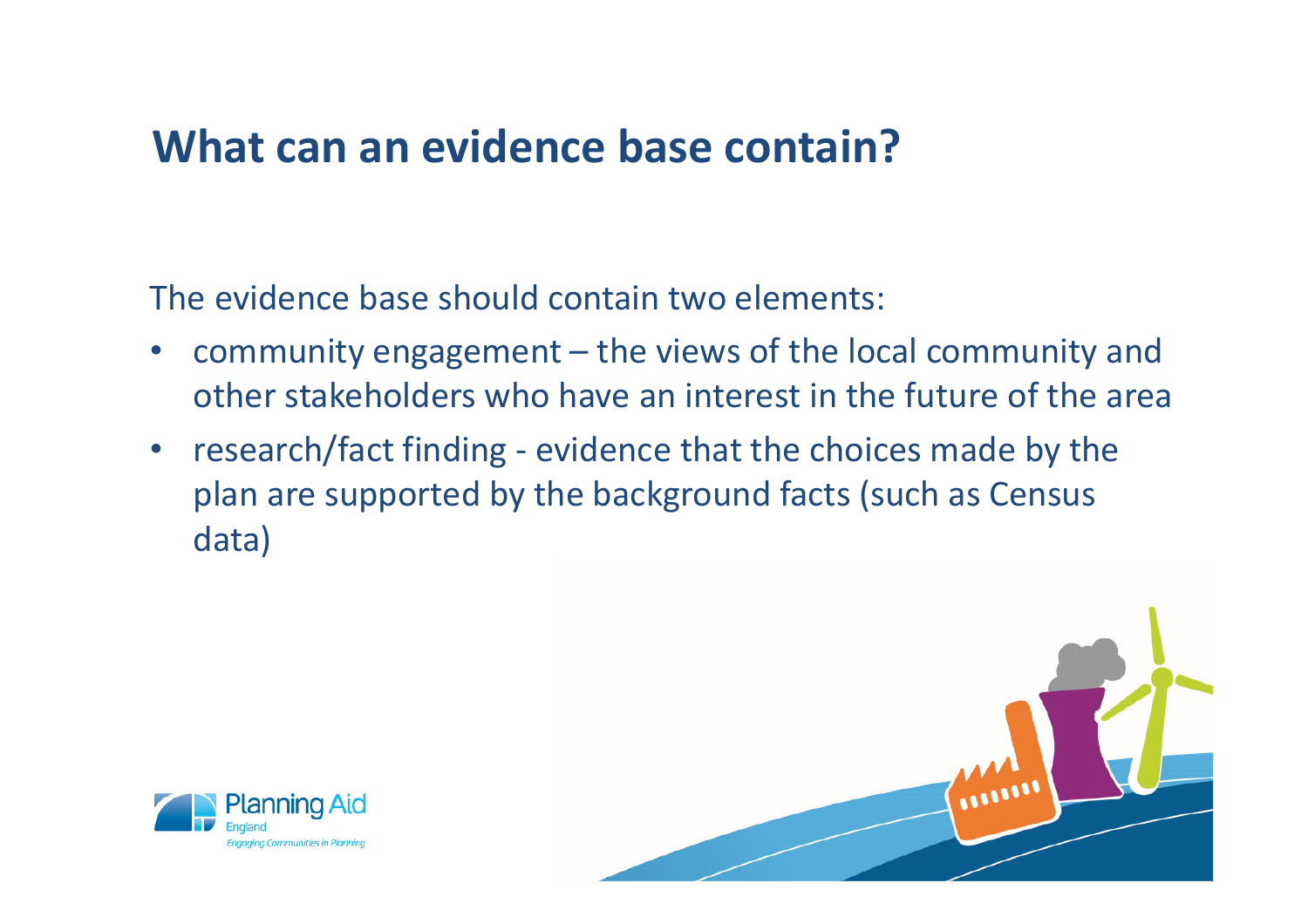#### **What can an evidence base contain?**

The evidence base should contain two elements:

- • community engagement – the views of the local community and other stakeholders who have an interest in the future of the area
- $\bullet$  research/fact finding - evidence that the choices made by the plan are supported by the background facts (such as Census data)



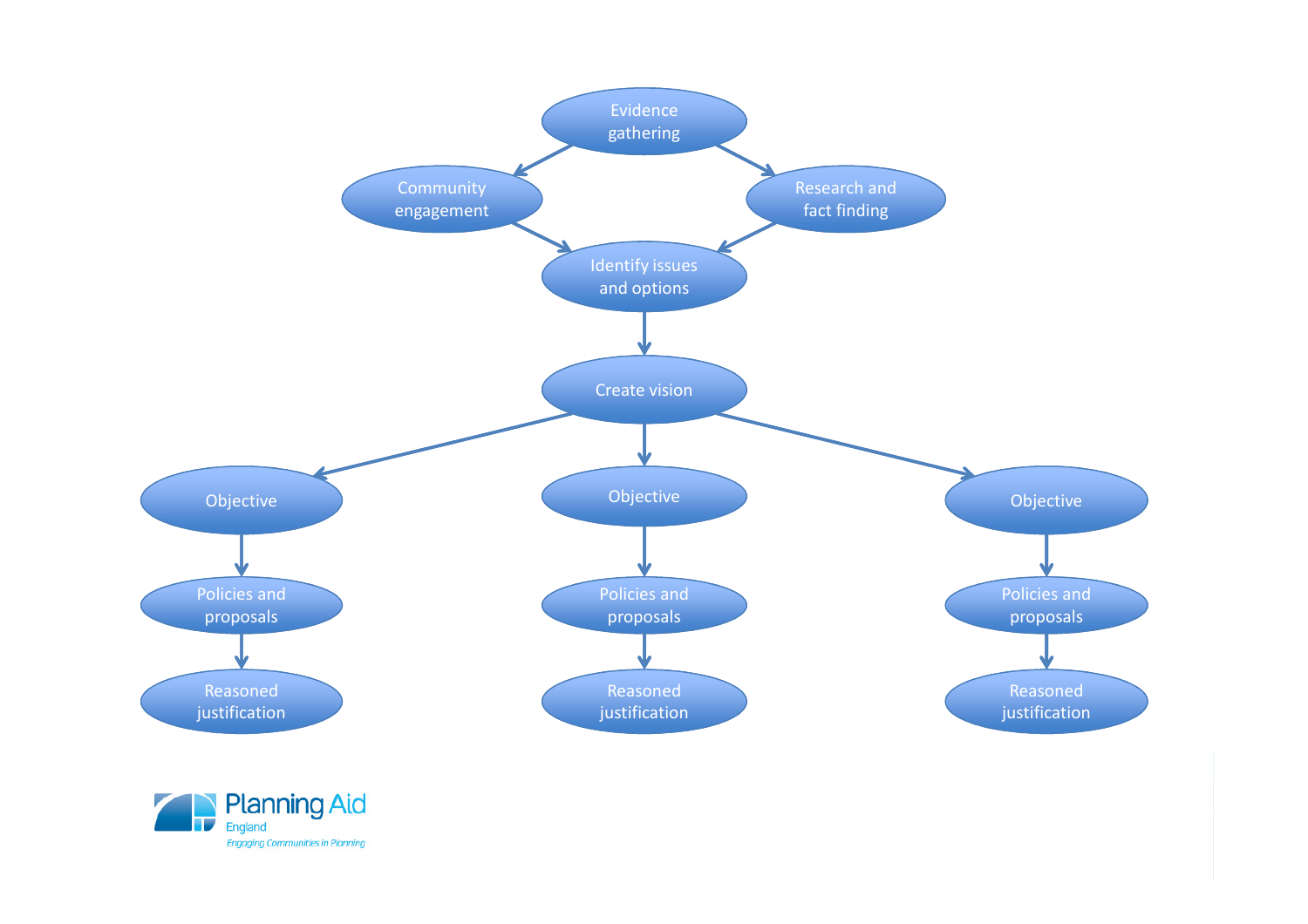

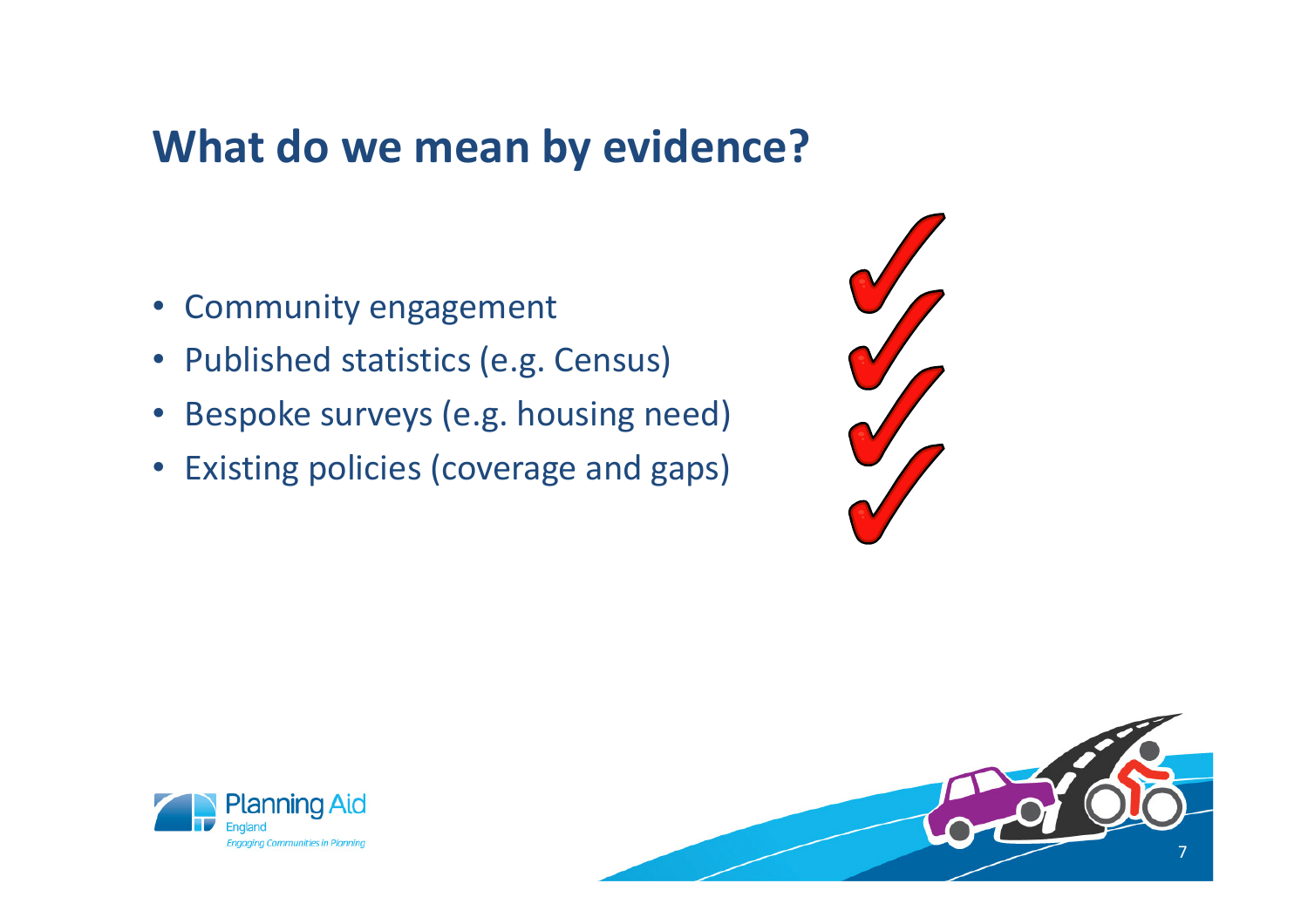#### **What do we mean by evidence?**

- Community engagement
- Published statistics (e.g. Census)
- Bespoke surveys (e.g. housing need)
- Existing policies (coverage and gaps)



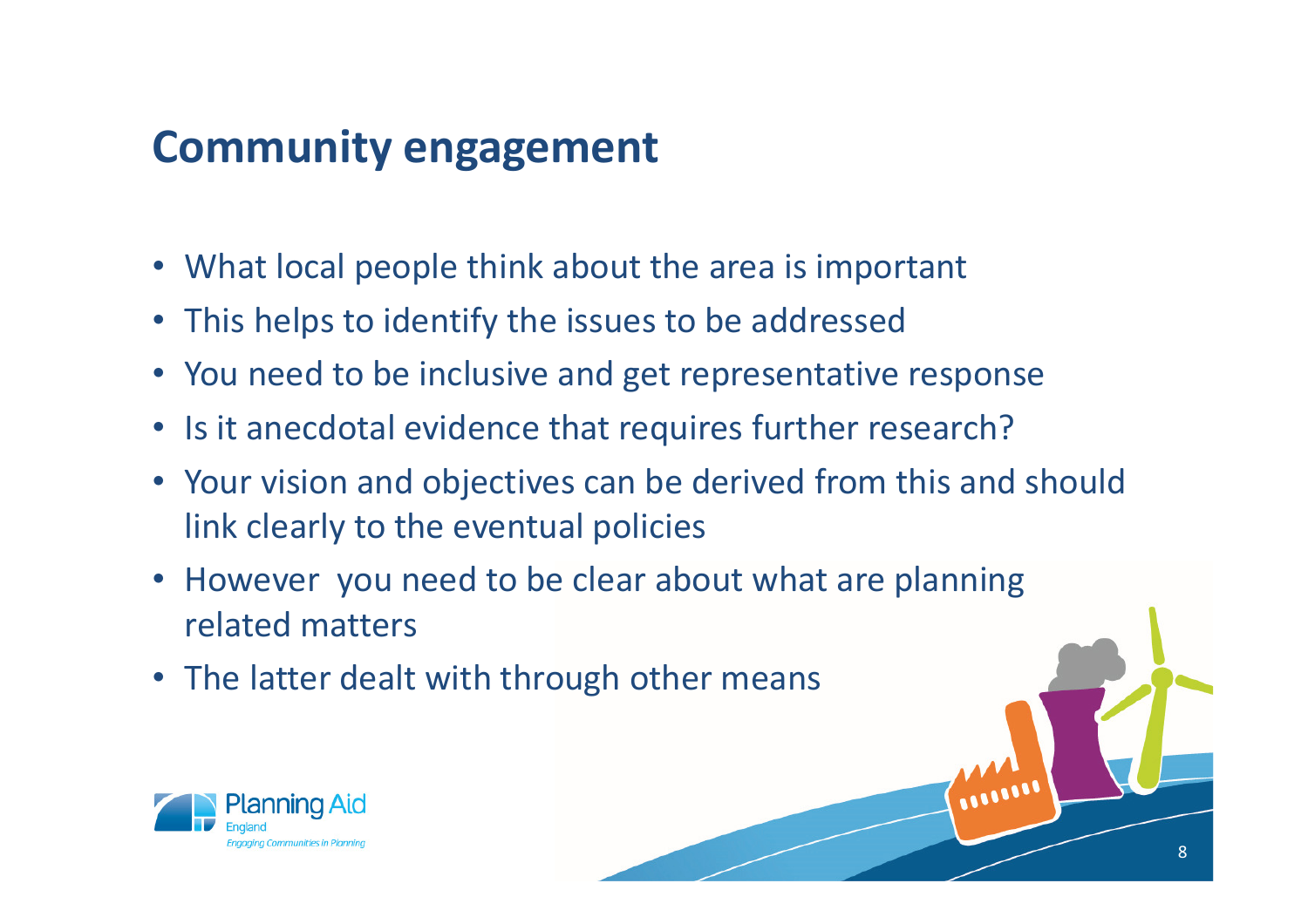## **Community engagement**

- What local people think about the area is important
- This helps to identify the issues to be addressed
- You need to be inclusive and get representative response
- Is it anecdotal evidence that requires further research?
- Your vision and objectives can be derived from this and should link clearly to the eventual policies

8

WILLIAM

- However you need to be clear about what are planning related matters
- The latter dealt with through other means

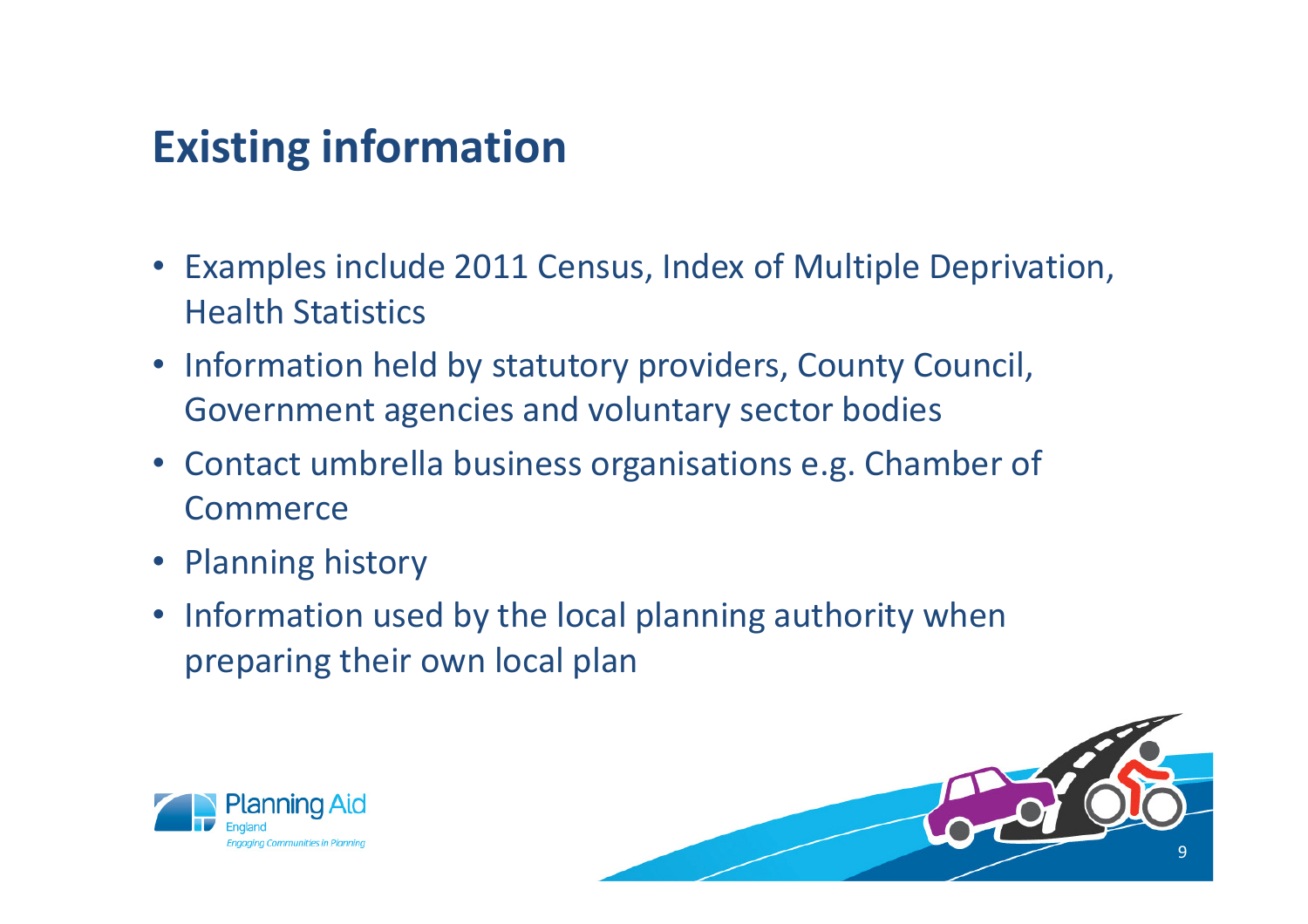## **Existing information**

- Examples include 2011 Census, Index of Multiple Deprivation, Health Statistics
- Information held by statutory providers, County Council, Government agencies and voluntary sector bodies
- Contact umbrella business organisations e.g. Chamber of Commerce
- Planning history
- Information used by the local planning authority when preparing their own local plan



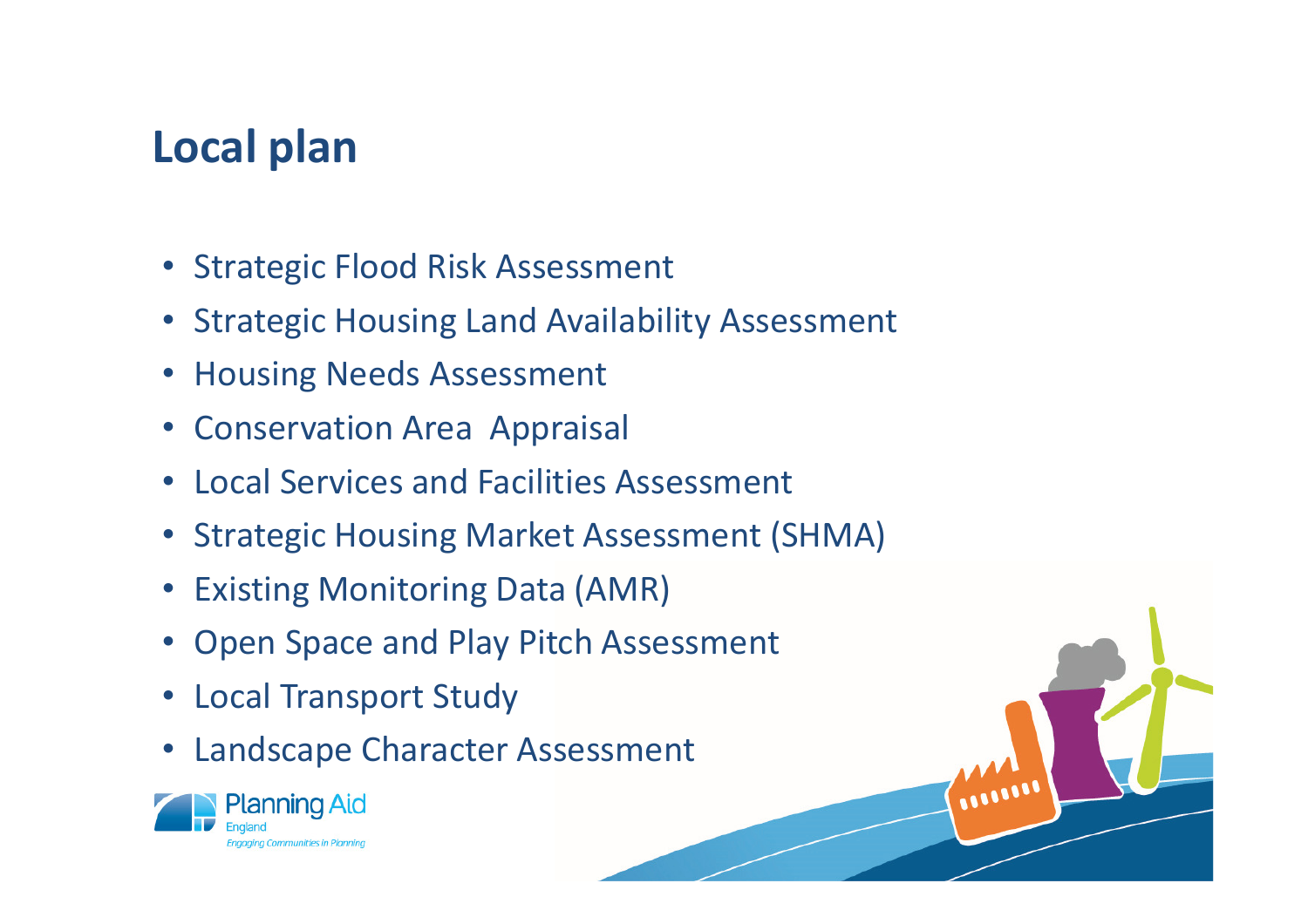## **Local plan**

- Strategic Flood Risk Assessment
- Strategic Housing Land Availability Assessment
- Housing Needs Assessment
- Conservation Area Appraisal
- Local Services and Facilities Assessment
- Strategic Housing Market Assessment (SHMA)

WWW

- Existing Monitoring Data (AMR)
- Open Space and Play Pitch Assessment
- Local Transport Study
- $\bullet$ Landscape Character Assessment

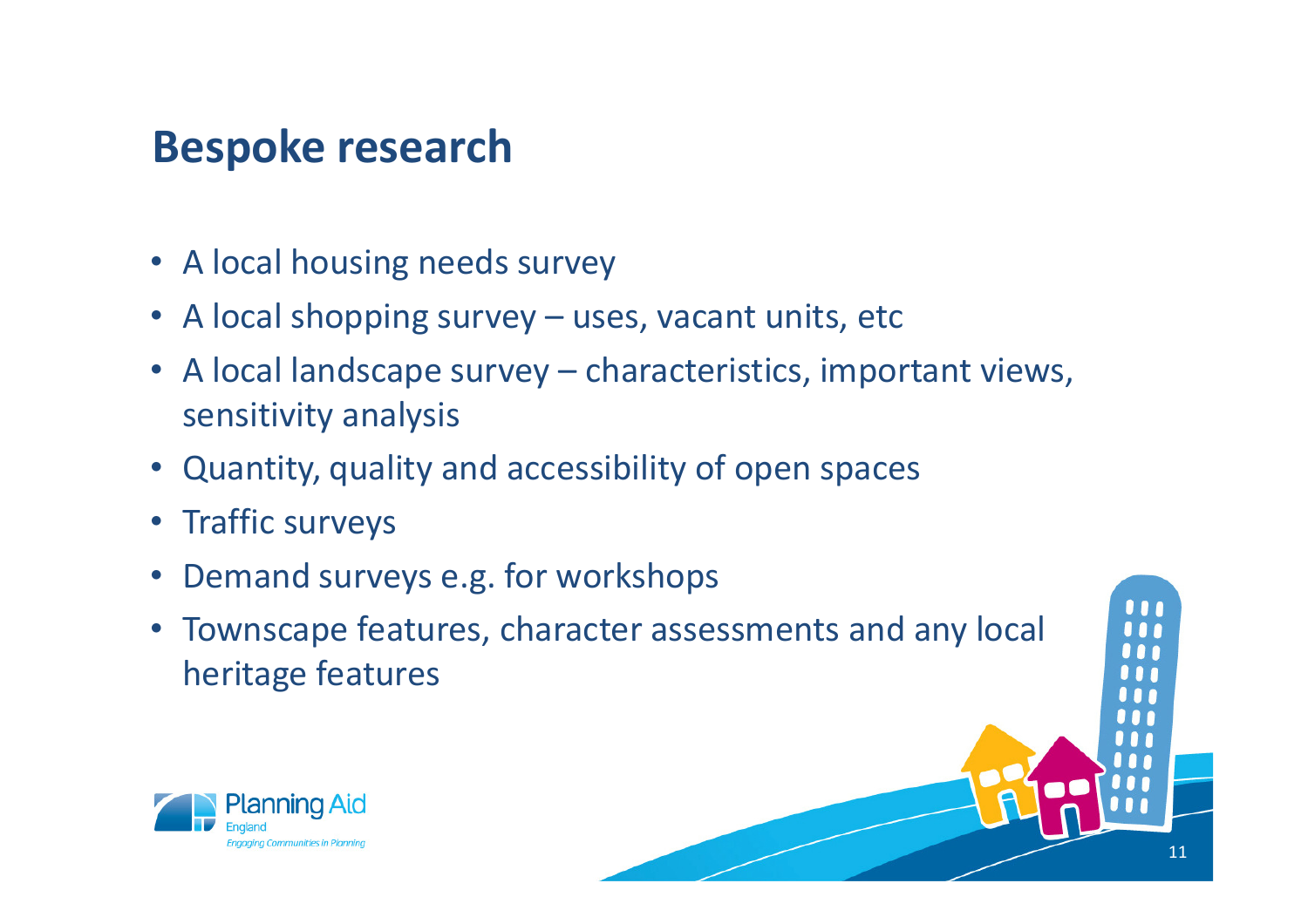## **Bespoke research**

- A local housing needs survey
- A local shopping survey uses, vacant units, etc
- A local landscape survey characteristics, important views, sensitivity analysis
- Quantity, quality and accessibility of open spaces
- Traffic surveys
- •Demand surveys e.g. for workshops
- Townscape features, character assessments and any local heritage features

11

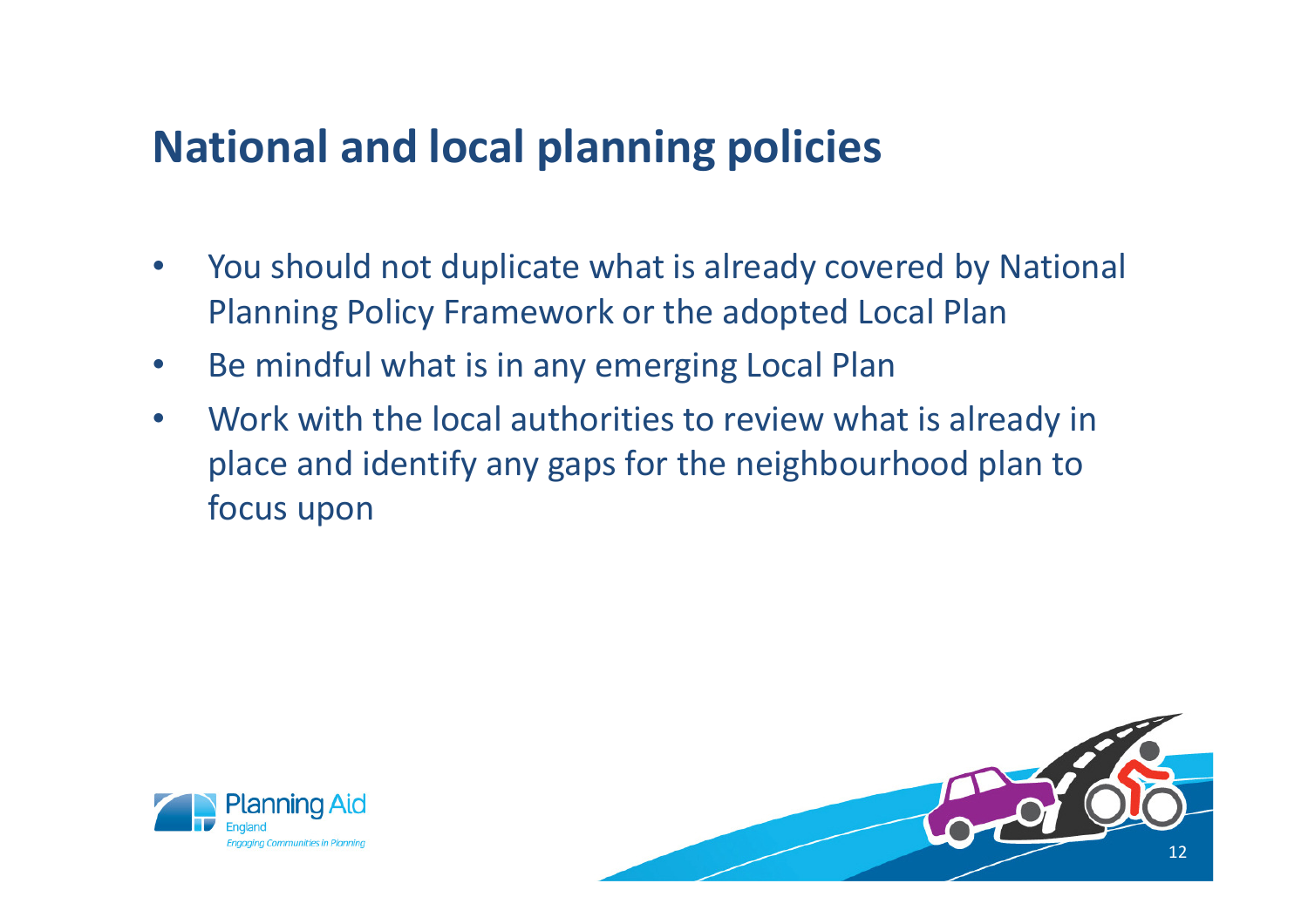#### **National and local planning policies**

- • You should not duplicate what is already covered by National Planning Policy Framework or the adopted Local Plan
- $\bullet$ Be mindful what is in any emerging Local Plan
- $\bullet$  Work with the local authorities to review what is already in place and identify any gaps for the neighbourhood plan to focus upon



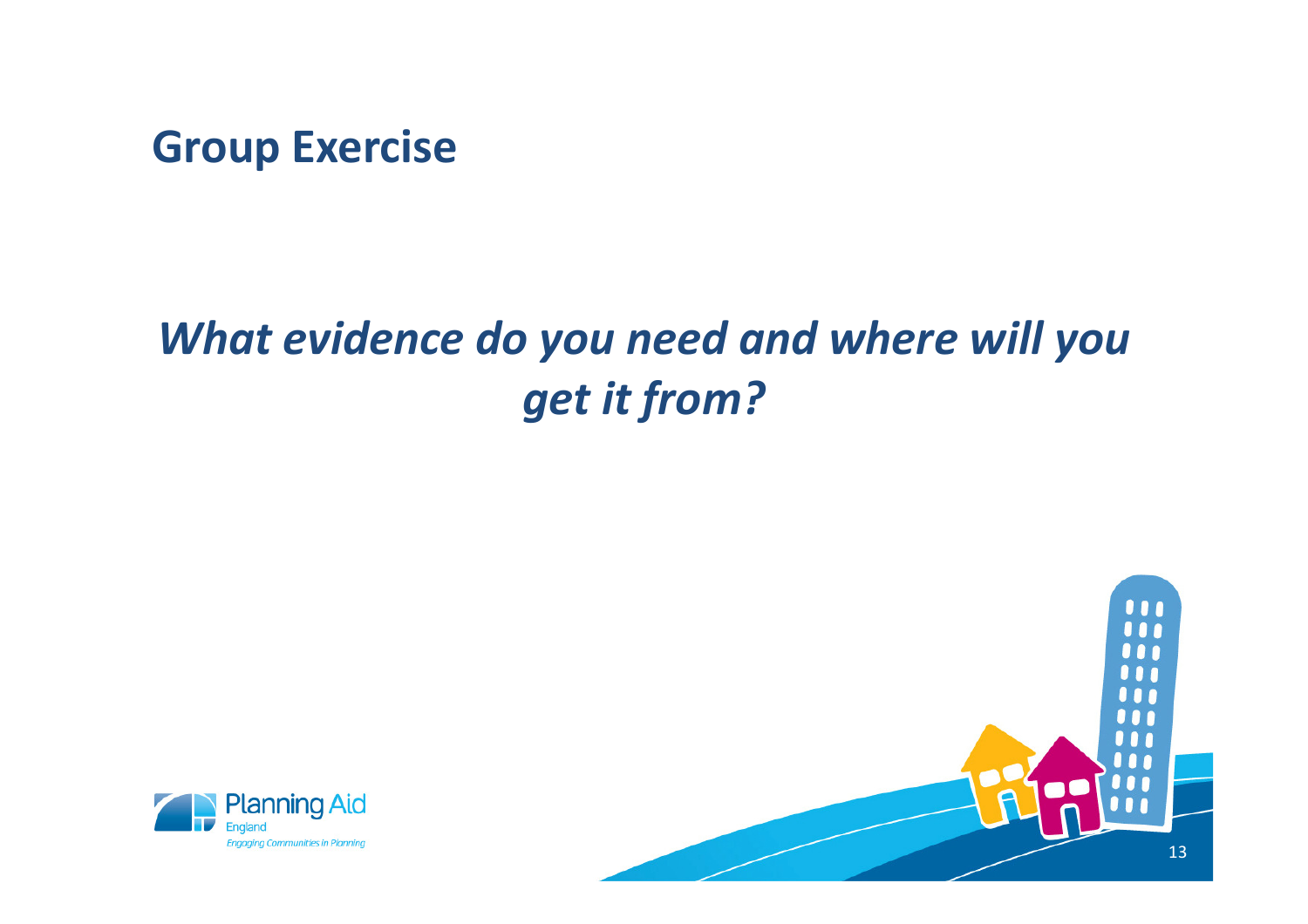**Group Exercise**

## *What evidence do you need and where will you get it from?*



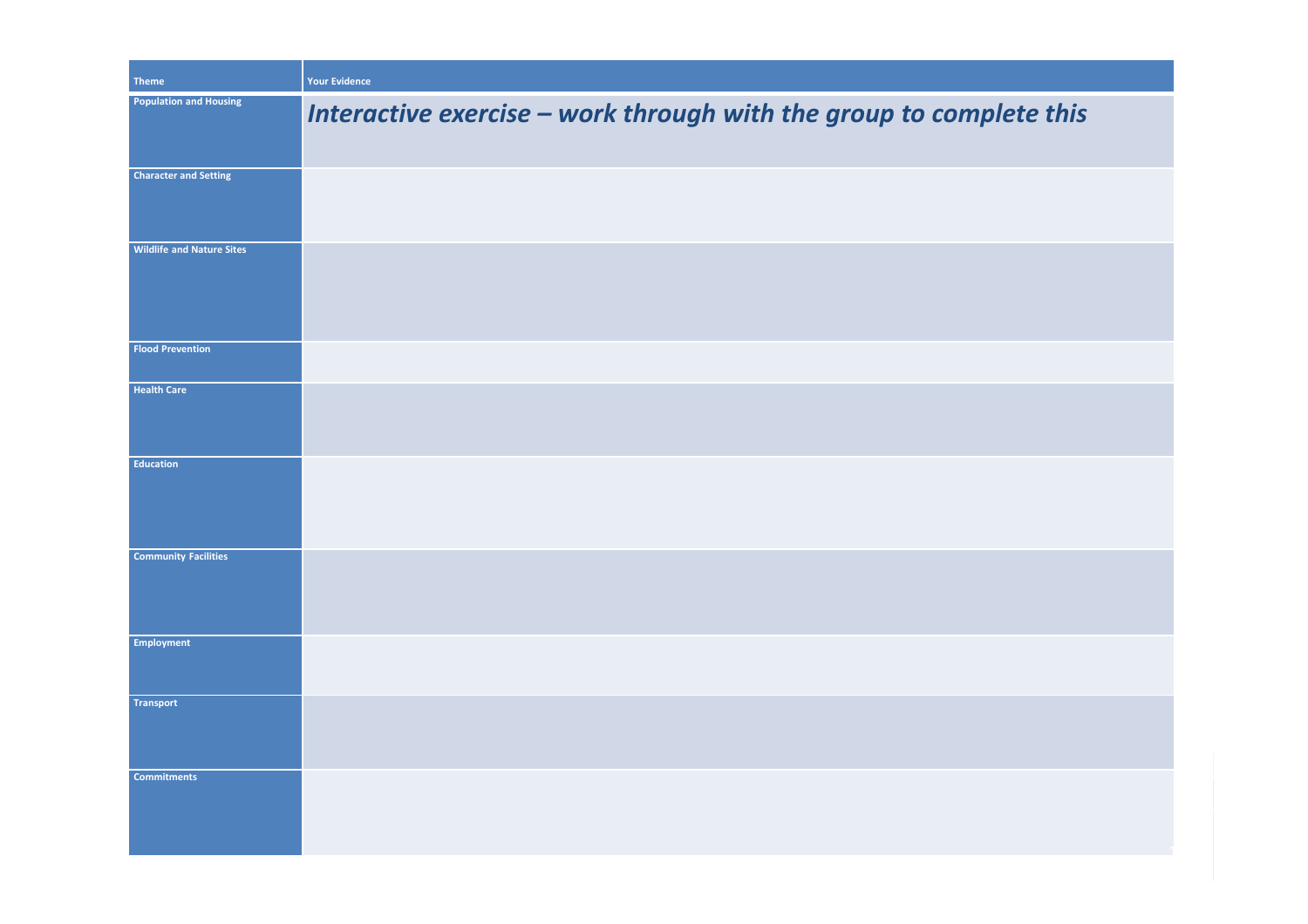| <b>Theme</b>                     | <b>Your Evidence</b>                                                |
|----------------------------------|---------------------------------------------------------------------|
| <b>Population and Housing</b>    | Interactive exercise - work through with the group to complete this |
| <b>Character and Setting</b>     |                                                                     |
| <b>Wildlife and Nature Sites</b> |                                                                     |
| <b>Flood Prevention</b>          |                                                                     |
| <b>Health Care</b>               |                                                                     |
| <b>Education</b>                 |                                                                     |
| <b>Community Facilities</b>      |                                                                     |
| <b>Employment</b>                |                                                                     |
| <b>Transport</b>                 |                                                                     |
| <b>Commitments</b>               |                                                                     |